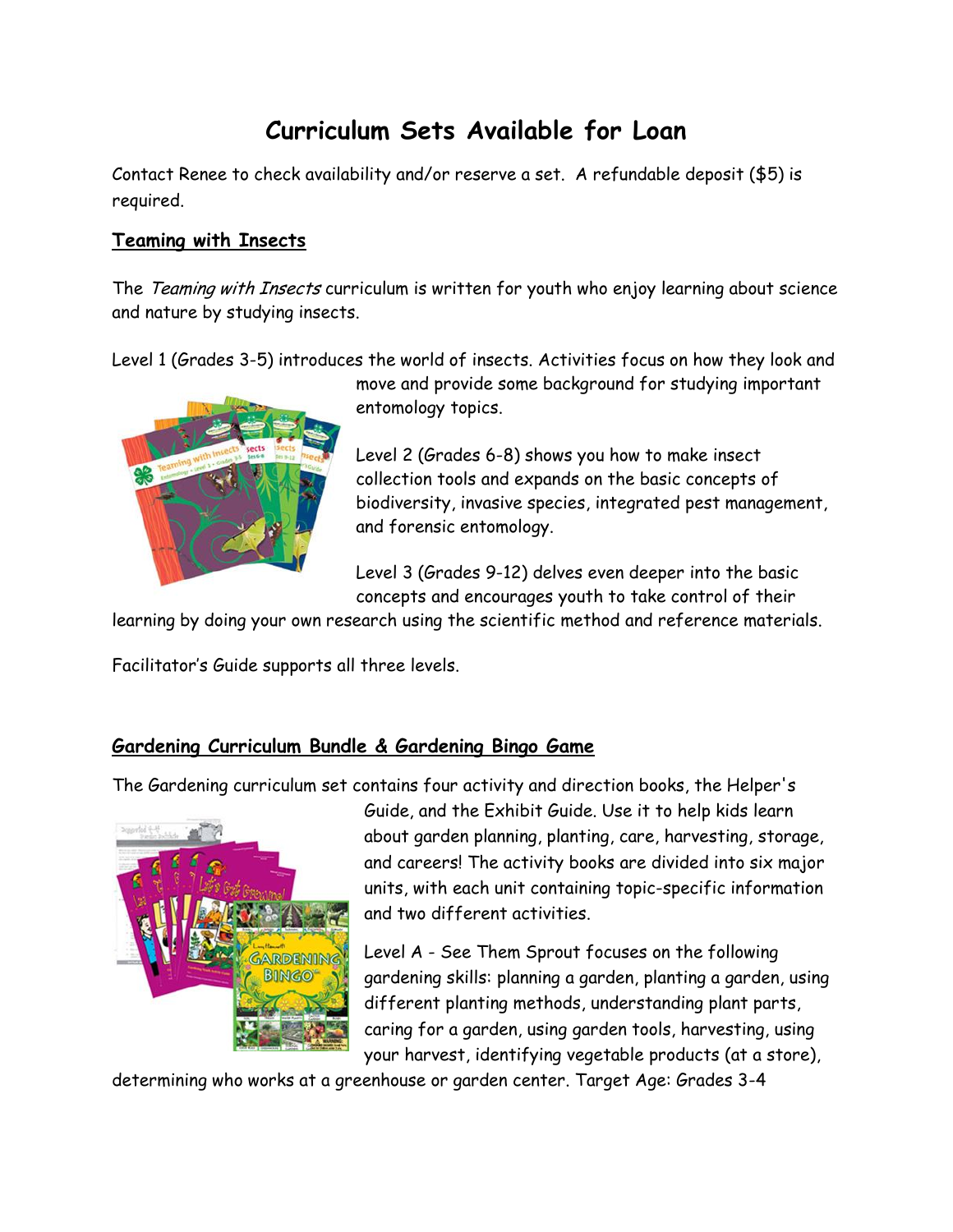# **Curriculum Sets Available for Loan**

Contact Renee to check availability and/or reserve a set. A refundable deposit (\$5) is required.

## **Teaming with Insects**

The Teaming with Insects curriculum is written for youth who enjoy learning about science and nature by studying insects.

Level 1 (Grades 3-5) introduces the world of insects. Activities focus on how they look and



move and provide some background for studying important entomology topics.

Level 2 (Grades 6-8) shows you how to make insect collection tools and expands on the basic concepts of biodiversity, invasive species, integrated pest management, and forensic entomology.

Level 3 (Grades 9-12) delves even deeper into the basic concepts and encourages youth to take control of their

learning by doing your own research using the scientific method and reference materials.

Facilitator's Guide supports all three levels.

#### **Gardening Curriculum Bundle & Gardening Bingo Game**

The Gardening curriculum set contains four activity and direction books, the Helper's



Guide, and the Exhibit Guide. Use it to help kids learn about garden planning, planting, care, harvesting, storage, and careers! The activity books are divided into six major units, with each unit containing topic-specific information and two different activities.

Level A - See Them Sprout focuses on the following gardening skills: planning a garden, planting a garden, using different planting methods, understanding plant parts, caring for a garden, using garden tools, harvesting, using your harvest, identifying vegetable products (at a store),

determining who works at a greenhouse or garden center. Target Age: Grades 3-4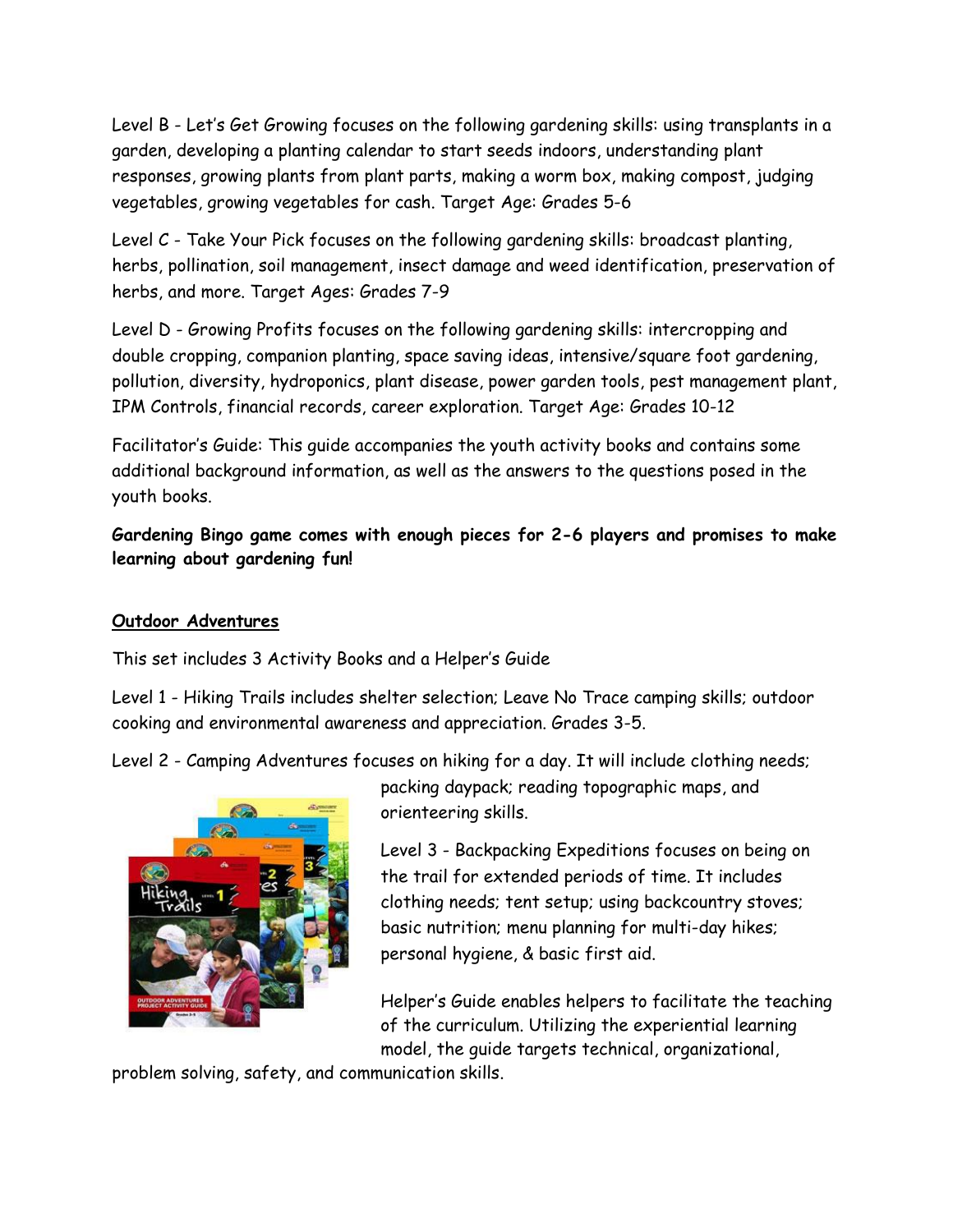Level B - Let's Get Growing focuses on the following gardening skills: using transplants in a garden, developing a planting calendar to start seeds indoors, understanding plant responses, growing plants from plant parts, making a worm box, making compost, judging vegetables, growing vegetables for cash. Target Age: Grades 5-6

Level C - Take Your Pick focuses on the following gardening skills: broadcast planting, herbs, pollination, soil management, insect damage and weed identification, preservation of herbs, and more. Target Ages: Grades 7-9

Level D - Growing Profits focuses on the following gardening skills: intercropping and double cropping, companion planting, space saving ideas, intensive/square foot gardening, pollution, diversity, hydroponics, plant disease, power garden tools, pest management plant, IPM Controls, financial records, career exploration. Target Age: Grades 10-12

Facilitator's Guide: This guide accompanies the youth activity books and contains some additional background information, as well as the answers to the questions posed in the youth books.

**Gardening Bingo game comes with enough pieces for 2-6 players and promises to make learning about gardening fun!**

## **Outdoor Adventures**

This set includes 3 Activity Books and a Helper's Guide

Level 1 - Hiking Trails includes shelter selection; Leave No Trace camping skills; outdoor cooking and environmental awareness and appreciation. Grades 3-5.

Level 2 - Camping Adventures focuses on hiking for a day. It will include clothing needs;



packing daypack; reading topographic maps, and orienteering skills.

Level 3 - Backpacking Expeditions focuses on being on the trail for extended periods of time. It includes clothing needs; tent setup; using backcountry stoves; basic nutrition; menu planning for multi-day hikes; personal hygiene, & basic first aid.

Helper's Guide enables helpers to facilitate the teaching of the curriculum. Utilizing the experiential learning model, the guide targets technical, organizational,

problem solving, safety, and communication skills.